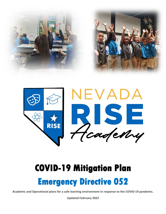



# **COVID-19 Mitigation Plan**

## **Emergency Directive 052**

**Academic and Operational plans for a safe learning environment in response to the COVID-19 pandemic.**

**Updated February 2022**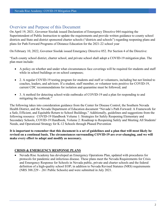### Overview and Purpose of this Document

On April 19, 2021, Governor Sisolak issued Declaration of Emergency Directive 044 requiring the Superintendent of Public Instruction to update the requirements and provide written guidance to county school districts and State and district sponsored charter schools ("districts and schools") regarding reopening plans and plans for Path Forward Programs of Distance Education for the 2021-22 school year

On February 10, 2022, Governor Sisolak issued Emergency Directive 052. Per Section 4 of the Directive:

"Each county school district, charter school, and private school shall adopt a COVID-19 mitigation plan. The plan must include:

- A policy on whether and under what circumstances face coverings will be required for students and staff while in school buildings or on school campuses;
- 2. A regular COVID-19 testing program for students and staff or volunteers, including but not limited to coaches, leaders, and advisors. If a student, staff member, or volunteer tests positive for COVID-19, current CDC recommendations for isolation and quarantine must be followed; and
- 3. A method for detecting school-wide outbreaks of COVID-19 and a plan for responding to and mitigating the outbreak."

The following takes into consideration guidance from the Center for Disease Control, the Southern Nevada Health District, and the Nevada Department of Education document "Nevada's Path Forward: A Framework for a Safe, Efficient, and Equitable Return to School Buildings." Additionally, guidelines and suggestions from the following resource: COVID-19 Handbook Volume 1: Strategies for Safely Reopening Elementary and Secondary Schools, COVID-19 Handbook, Volume 2: Roadmap to Reopening Safely and Meeting All Students' Needs, and Operational Strategy for K-12 Schools through Phased Prevention

**It is important to remember that this document is a set of guidelines and a plan that will most likely be revised on a continual basis. The circumstances surrounding COVID-19 are ever-changing, and we will make every effort to adapt and modify as necessary.** 

#### **CRISIS & EMERGENCY RESPONSE PLANS**

• Nevada Rise Academy has developed an Emergency Operations Plan, updated with procedures for protocols for pandemic and infectious disease. These plans meet the Nevada Requirements for Crisis and Emergency Response for Schools in Nevada public, private and charter schools and the federal definition of a high-quality school EOP; in addition to Nevada Revised Statutes (NRS) requirements (NRS 388.229 - .261 Public Schools) and were submitted in July 2021.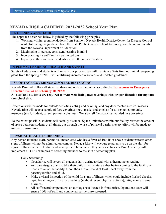## **NEVADA RISE ACADEMY: 2021-2022 School Year Plan**

#### **RE-OPENING APPROACH**

The approach described below is guided by the following principles:

- 1. Working within recommendations from Southern Nevada Health District/Center for Disease Control while following the guidance from the State Public Charter School Authority, and the requirements from the Nevada Department of Education.
- 2. Maximizing in-person, consistent learning in mind
- 3. Incorporating Parent/Family input in options
- 4. Equality in the choice- all students receive the same education.

#### **IN-PERSON LEARNING: HEALTH AND SAFETY**

Safety of educators and students will remain our priority. We will maintain efforts from our initial re-opening plans from the spring of 2021, while utilizing increased resources and updated guidelines.

#### **USE OF FACE COVERINGS & SOCIAL DISTANCING**

Nevada Rise will follow all state mandates and update the policy accordingly. **In response to Emergency Directive 052, as of February 10, 2022:**

#### **All staff and students are required to wear well-fitting face coverings with proper filtration throughout the school day.**

Exceptions will be made for outside activities, eating and drinking, and any documented medical reasons. Nevada Rise will keep a supply of face coverings (both masks and shields) for all school community members (staff, student, parent, partner, volunteer). We also sell Nevada Rise-branded face coverings.

To the extent possible, students will socially distance. Space limitations within our facility restrict the amount of space between students at all times, but through the use of physical barriers, every effort will be made to mitigate transmission.

#### **PHYSICAL HEALTH SCREENING**

Any person (student, staff, parent, volunteer, etc.) who has a fever of 100.4F or above or demonstrates other signs of illness will not be admitted on campus. Nevada Rise will encourage parents to be on the alert for signs of illness in their children and to keep them home when they are sick. Nevada Rise Academy will implement all CDC examples of screening methods to assist in a screening plan.

- 1. Daily Screening:
	- Nevada rise will screen all students daily during arrival with a thermometer reading.
	- Ask parents/guardians to take their child's temperature either before coming to the facility or upon arrival at the facility. Upon their arrival, stand at least 3 feet away from the parent/guardian and child.
	- Make a visual inspection of the child for signs of illness which could include flushed cheeks, rapid breathing or difficulty breathing (without recent physical activity), fatigue, or extreme fussiness.
	- All staff record temperatures on our log sheet located in front office. Operations team will ensure 100% of staff and contracted partners are screened.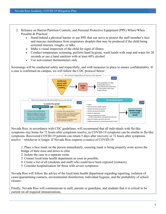- 2. Reliance on Barrier/Partition Controls, and Personal Protective Equipment (PPE) Where/When Possible & Practical
	- Stand behind a physical barrier or use PPE that can serve to protect the staff member's face and mucous membranes from respiratory droplets that may be produced if the child being screened sneezes, coughs, or talks.
	- Make a visual inspection of the child for signs of illness
	- Conduct temperature screening, perform hand hygiene, wash hands with soap and water for 20 seconds or use a hand sanitizer with at least 60% alcohol.
	- Use non-contact thermometers only.

Screenings will be conducted safely and respectfully, and with measures in place to ensure confidentiality. If a case is confirmed on campus, we will follow the CDC protocol below:



Nevada Rise, in accordance with CDC guidelines, will recommend that all individuals with flu-like symptoms stay home for 72 hours after symptoms resolve, as COVID-19 symptoms can be similar to flu-like symptoms. Recovered COVID-19 patients can return 5 days after recovery or 72 hours after symptoms resolve – whichever is longer. If Nevada Rise suspects a case(s) of COVID-19:

1. Place a face mask on the person immediately, ensuring mask is being properly worn across the

- bridge of their nose and down to chin
- 2. Isolate the case in a separate room.
- 3. Contact local/state health department as soon as possible.
- 4. Create a list of all (students and staff) who could have been exposed (contacts).
- 5. Consider hospitalization for those with severe symptoms.

Nevada Rise will follow the advice of the local/state health department regarding reporting, isolation of cases/quarantining contacts, environmental disinfection, individual hygiene, and the probability of school closure.

Finally, Nevada Rise will communicate to staff, parents or guardians, and students that it is critical to be current on all required immunizations.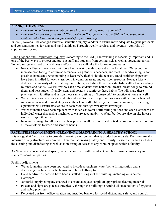#### **PHYSICAL HYGIENE**

- *How will you address and reinforce hand hygiene and respiratory etiquette?*
- *How will face coverings be used? Please refer to Emergency Directive 024 and the associated guidance which outline the requirements for face coverings.*

In 2020, Nevada Rise changed janitorial/sanitation supply vendors to ensure more adequate hygiene protocols and constant supplies for soap and hand sanitizer. Through weekly services and inventory controls, all supplies are stocked.

Hand Hygiene and Respiratory Etiquette: According to the CDC, handwashing is especially important and is one of the best ways to protect and prevent staff and students from getting sick as well as spreading germs. To help mitigate spread of any illness and/or virus, we will take the following measures:

- Nevada Rise will teach and reinforce [handwashing](https://www.cdc.gov/handwashing/when-how-handwashing.html) with soap and water for at least 20 seconds and increase monitoring to ensure adherence among students, teachers, and staff. If handwashing is not possible, hand sanitizer containing at least 60% alcohol should be used. Hand sanitizer dispensers have been installed for each classroom, in common areas, and outside restrooms. Nevada Rise will dedicate the majority of the first days to routines, including those that establish healthy hand-washing routines and habits. We will review each time students take bathroom breaks, create songs to remind them, and post student-friendly signs and posters to reinforce these habits. We will share these practices with families and assign these same routines as "homework" to practice at home as well.
- We will teach and encourage students and staff to cover coughs and sneezes with a tissue when not wearing a mask and immediately wash their hands after blowing their nose, coughing, or sneezing. Operations will ensure tissues are in each room through weekly walkthroughs.
- Water fountains have been replaced with touchless water bottle filling stations and each classroom has individual water dispensing machines to ensure accountability. Water bottles are also on site in case students forget their own.
- Increased signage for all grade levels is present in all restrooms and outside classrooms to help remind all stakeholders to wash and sanitize hands.

#### **FACILITIES MANAGEMENT: CLEANING & MAINTAINING A HEALTHY SCHOOL**

It is our goal at Nevada Rise to provide a learning environment that is productive and safe. Facilities are allinclusive of any structures on campus. Therefore, addressing safety and security is essential, which includes the cleaning and disinfecting as well as monitoring of access to any room or space within a facility.

As Nevada Rise is in a shared space, we will coordinate with Paradise Church to ensure consistency in standards across all parties.

Facility Adjustments:

- Water fountains have been upgraded to include a touchless water bottle filling station and a dispensing machine in each classroom to limit hallway traffic.
- Hand sanitizer dispensers have been installed throughout the building, including outside each classroom.
- Janitorial supply company changed to ensure adequate supply of appropriate cleaning materials
- Posters and signs are placed strategically through the building to remind all stakeholders of hygiene and safety practices.
- Relocated our front office location and installed barriers for social-distancing, safety, and control.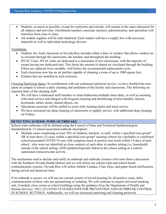- Students, as much as possible, except for restrooms and outside, will remain in the same classroom for all subjects and activities. Enrichment teachers, associate teachers, administration, and specialists will transition from class to class.
- All student supplies will be individualized. Each student will have a supply box with necessary materials as well as individual technology devices.

Ventilation:

- Outdoor Air: Each classroom at Nevada Rise includes either a door or window that allows outdoor air to circulate through the classrooms, the kitchen, and throughout the building.
- HVAC Units: HVAC units are dedicated to a maximum of two classrooms, with the majority of rooms having one dedicated unit. This limits the amount of shared air circulated through the building. Filters are replaced twice monthly, well before the recommended replacement cycle.
- Each classroom now has an air purifier capable of cleaning a room of up to 1000 square feet.
- Exhaust fans are installed in each restroom.

Cleaning/Sanitizing Space: In coordination with our contracted janitorial service, we have doubled the time spent on campus to ensure a daily cleaning and sanitation of the facility and classrooms. The following are required daily of the cleaning staff:

- We will have a dedicated staff member to clean bathrooms multiple times daily, as well as assisting with meal service and charged with frequent cleaning and disinfecting of door handles, faucets, keyboards, tables, desks, shared objects, etc.
- Operations associate will be staffed to assist with cleaning duties and meal service.
- We have increased our deep cleaning of classrooms to nightly service, with additional deep cleaning on Fridays.

#### **DETECTING SCHOOL-WIDE OUTBREAKS**

School-wide outbreaks will be defined using the Council of State and Territorial Epidemiologists Standardized K-12 school-associated outbreak description:

• Multiple cases comprising at least  $10\%$  of students, teachers, or staff, within a specified core group\* OR at least three (3) cases within a specified core group\* meeting criteria for a probable or confirmed school-associated COVID-19 case with symptom onset or positive test result within 14 days of each other§ ; who were not identified as close contacts of each other in another setting (i.e. household) outside of the school setting; AND epidemiologically linked in the school setting or a schoolsanctioned extracurricular activity.

The mechanism used to declare and notify an outbreak and outbreak closures will come from a discussion with the Southern Nevada Health District and we will utilize our school-wide and school-based communication systems. Nevada Rise will utilize Infinite Campus, Class Dojo, and paper-based notifications during arrival and dismissal lines.

If an outbreak is occurs, we will use our current system of record-keeping for all positive cases, daily communication of those who are quarantining or isolating. We will continue to require universal masking and, if needed, close rooms or school buildings using the guidance from the Department of Health and Human Services "2021-22 COVID-19 GUIDELINES FOR PREVENTION AND OUTBREAK CONTROL IN SCHOOL SETTINGS. Additionally, we will use increased sanitizing and cleaning protocols.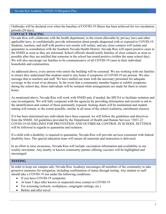Outbreaks will be declared over when the baseline of COVID-19 illness has been achieved for two incubation periods (28 days).

#### **CONTACT TRACING**

Nevada Rise will collaborate with the health department, to the extent allowable by privacy laws and other applicable laws, to confidentially provide information about people diagnosed with or exposed to COVID-19. Students, teachers, and staff with positive test results will isolate, and any close contacts will isolate and quarantine in consultation with the Southern Nevada Health District. Nevada Rise will report positive cases to the SNHD as soon as they are informed. School officials should notify families of close contacts as soon as possible after they are notified that someone in the school has tested positive (within the same school day). We will also encourage our families to be communicative of all COVID-19 cases in their individual households and communities.

As addressed above, every person who enters the building will be screened. We are working with our families to ensure they understand that students need to stay home if symptoms of COVID-19 are present. We also message that to teachers and staff. We have staffed our team with the necessary personnel for adequate coverage in the event of an absence. In the event that a community member begins to exhibit symptoms during the school day, those individuals will be isolated while arrangements are made for them to return home.

As mentioned above, Nevada Rise will work with SNHD and, if needed, the SPCSA to facilitate isolation and case investigation. We will fully cooperate with the agencies by providing information and records to aid in the identification and contact of those potentially exposed. Seating charts will be maintained and student seating will remain, to the extent possible, similar in all areas of the school (cafeteria, enrichment classes).

If it has been determined any individuals have been exposed, we will follow the guidelines and directives from the SNHD. All guidelines provided by the Department of Health and Human Services "2021-22 COVID-19 GUIDELINES FOR PREVENTION AND OUTBREAK CONTROL IN SCHOOL SETTINGS will be followed in regards to quarantine and isolation.

If a child with a disability is required to quarantine, Nevada Rise will provide services consistent with federal disability laws. The special education team will ensure all materials and instruction is delivered.

In an effort to raise awareness, Nevada Rise will include vaccination information and availability in our weekly newsletter. Any nearby or known community partner offering vaccines will be highlighted and encouraged.

#### **TESTING**

In order to keep our campus safe, Nevada Rise Academy encourages all members of the community to take proactive measures for mitigation, including confirmation of status through testing. Any student or staff should take a COVID-19 test under the following conditions:

- If you have COVID-19 symptoms
- At least 5 days after known or suspected close contact to COVID-19
- For screening (schools, workplaces, congregate settings, etc.)
- Before and after travel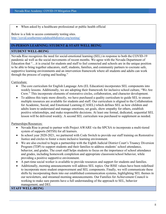When asked by a healthcare professional or public health official

Below is a link to access community testing sites. <http://covid.southernnevadahealthdistrict.org/testing/>

#### **IN-PERSON LEARNING: STUDENT & STAFF WELL BEING**

#### **STUDENT WELL-BEING**

Nevada Rise recognizes the need for social-emotional learning (SEL) in response to both the COVID-19 pandemic ad well as the social movements of recent months. We agree with the Nevada Department of Education that "…it is crucial for students and staff to feel connected and schools are in the unique position to be able to bring together educators, staff, students, families, and community partners to cocreate safe, supportive learning environments and an intervention framework where all students and adults can work through the process of coping and healing."

Curriculum:

- The core curriculum for English Language Arts (EL Education) incorporates SEL components into weekly lessons. Additionally, we are adopting their framework for inclusive school culture, "We Are Crew." This incorporate elements of restorative circles, collaboration, and character development.
- To address this topic more directly, we have purchased a quality curriculum to guide SEL to ensure multiple resources are available for students and staff. Our curriculum is aligned to the Collaboration for Academic, Social, and Emotional Learning (CASEL) which defines SEL as how children and adults learn to understand and manage emotions, set goals, show empathy for others, establish positive relationships, and make responsible decisions. At least one formal, dedicated, sequential SEL lesson will be delivered weekly. A second SEL curriculum was purchased to supplement as needed.

Partnerships/Resources:

- Nevada Rise is proud to partner with Project AWARE via the SPCSA to incorporate a multi-tiered system of supports (MTSS) for all learners.
- In school year 2020-2021, we partnered with Code Switch to provide our staff training on Restorative Justice and circles to foster a more inclusive learning environment.
- We are also excited to begin a partnership with the Eighth Judicial District Court's Truancy Diversion Program (TDP) to support students and their families to address students' school attendance, behavior, and grades. The court staff helps students to focus on the importance of school attendance and grades, including homework completion and appropriate classroom/school behavior, while providing a positive supportive environment.
- A part-time social worker is available to provide resources and support for students and families.
- Additionally, morning announcements will address SEL topics. Our RISE values have been redefined to incorporate more student empowerment and SEL components. Finally, we will communicate these shifts by incorporating them into our established communication systems, highlighting SEL themes in our newsletters, and streamed morning announcements. Our Families for Achievement Council is working to make sure parents have a full understanding of the approach to SEL, behavior management, and DEI.

**STAFF WELL-BEING**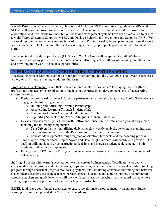Nevada Rise has established a Diversity, Equity, and Inclusion (DEI) committee to guide our staff's work in SEL as well as our approach to behavior management. Our school environment and culture ensures high expectations and predictable routines, but our behavior management systems have been overhauled to ensure a Multi-Tiered System of Supports (MTSS), and Positive Behavioral Interventions and Supports (PBIS). We are working to incorporate dedicated sections of SEL and DEI into weekly lesson planning to frame the work for our educators. The DEI committee is also working to identify appropriate professional development for staff.

Elements found in both Project Aware (MTSS) and We Are Crew will be applied to staff. We have also transitioned to a 4-day per week instructional calendar, affording staff a full day of planning, collaboration, and providing more work-life balance opportunities.

#### **IN-PERSON LEARNING: ACCELERATING STUDENT LEARNING**

Accelerating student learning is among our top priorities coming into the 2021-2022 school year. There are a variety of shifts we are making to address this issue.

Professional Development: Given that these are unprecedented times, we are leveraging the strength of professional and academic organizations to help us in the professional development (PD) of accelerating student learning.

- During our two week summer PD, we are partnering with the Relay Graduate School of Education to engage in the following sessions:
	- o Building and Affirming Learning Partnerships
	- o Accelerating Learning Through Student Work
	- o Planning to Address Gaps While Maintaining the Bar
	- o Supporting Students Who Are Multilingual in General Education
- Nevada Rise has recently partnered with Bellwether Education to create a three-year strategic plan, including the following components:
	- o Data Driven Instruction utilizing daily strategies, weekly analysis, benchmark planning, and incorporating more data in the Response to Instruction (RtI) process.
	- o Educator development through targeted observation, feedback, and the coaching process.
- Two of our current partners, Project Aware and Data Insight Partners, will continue to provide PD to staff on utilizing data to drive instructional decisions and increase student achievement, in both academic and cultural components.
- Finally, the full PD days on Fridays will include weekly meetings with an embedded component of data analysis.

Staffing: To assist with learning acceleration, we have created a Intervention Coordinator, charged with ensuring daily small groups and intervention groups are using data to inform instructional activities, tracking progress through consistent progress monitoring systems, and facilitating conversations among and between stakeholders (teachers, associate teachers, parents, special education, and administration). The number of associate teachers per grade level who will work with lead classroom teachers has increased to create more small group learning opportunities to allow for targeted instruction.

ESSER funds have contributed a great deal to ensure we eliminate resource inequity on campus. Student learning materials are provided by Nevada Rise Academy.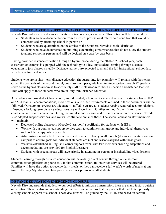#### **DISTANCE EDUCATION: SUPPORTING STUDENTS UNABLE TO PARTICIPATE IN-PERSON**

Nevada Rise will ensure a distance education option is always available. This option will be reserved for:

- Students who have documentation from a medical professional related to a condition that would be compromised by attending school in-person or
- Students who are quarantined on the advice of the Southern Nevada Health District or
- Students who have documentation outlining extenuating circumstances that do not allow the student to attend school in-person, and will be decided on a case-by-case basis.

Having provided distance education through a hybrid model during the 2020-2021 school year, each classroom on campus is equipped with the technology to allow any student learning through distance education to join classes virtually. Distance learners are expected to attend the full instructional school day, with breaks for meal service.

Students who are in short-term distance education (in quarantine, for example), will remain with their class. Given the demands of the hybrid model, one classroom per grade level in kindergarten through 2<sup>nd</sup> grade will serve as the hybrid classroom as to adequately staff the classroom for both in-person and distance learners. This will apply to those students who are in long-term distance education.

All students are provided a Chromebook, and, if needed, a hotspot for internet access. If a student has an IEP or a 504 Plan, all accommodations, modifications, and other requirements outlined in those documents will be followed. Our support services are adequately staffed to ensure all students receive required accommodations. If needed (for long-term distance education), we will work with families to modify the IEP to make it conducive to distance education. During the initial school closure and distance education experience, Nevada Rise adapted support services, and we will continue to enhance these. The special education staff members will maintain:

- Dedicated online classroom (Google Classroom) specifically for students with IEPs.
- Work with our contracted support service team to continue small group and individual therapy, as well as teletherapy, when possible.
- Administration will check lesson plans and observe delivery in all models (distance education and on campus) to ensure goals for individual students are met and lessons aligned with those goals.
- We have established an English Learner support team, with two members ensuring adaptations and accommodations are provided for English Learners
- Students with special needs will have priority in attending in-person or in scheduling video lessons.

Students learning through distance education will have daily direct contact through our classroom communication platform or phone call. In that communication, full nutrition services will be offered. Families will have the option to receive daily meals, or they can receive a full week's worth of meals at one time. Utilizing MyEducationData, parents can track progress of all students.

#### **DISTANCE EDUCATION: EMERGENCY CLOSURE**

Nevada Rise understands that, despite our best efforts to mitigate transmission, there are many factors outside our control. There is also an understanding that there are situations that may occur that lead to temporarily closing schools or parts of a school. These decisions will be guided by the SNHD and based on careful